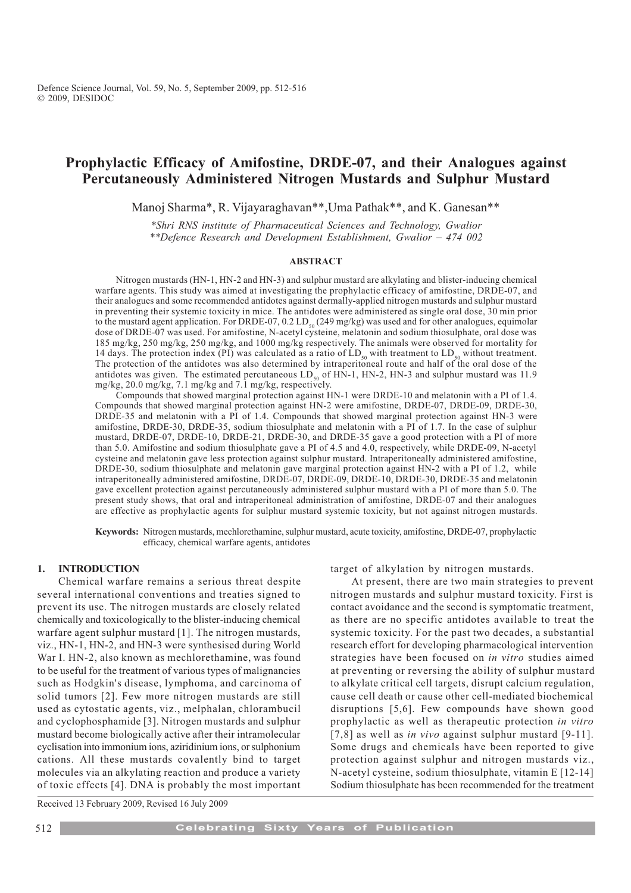# Prophylactic Efficacy of Amifostine, DRDE-07, and their Analogues against Percutaneously Administered Nitrogen Mustards and Sulphur Mustard

Manoj Sharma\*, R. Vijayaraghavan\*\*,Uma Pathak\*\*, and K. Ganesan\*\*

\*Shri RNS institute of Pharmaceutical Sciences and Technology, Gwalior  $*$ **Defence Research and Development Establishment, Gwalior - 474 002** 

#### ABSTRACT

Nitrogen mustards (HN-1, HN-2 and HN-3) and sulphur mustard are alkylating and blister-inducing chemical warfare agents. This study was aimed at investigating the prophylactic efficacy of amifostine, DRDE-07, and their analogues and some recommended antidotes against dermally-applied nitrogen mustards and sulphur mustard in preventing their systemic toxicity in mice. The antidotes were administered as single oral dose, 30 min prior to the mustard agent application. For DRDE-07, 0.2 LD<sub>50</sub> (249 mg/kg) was used and for other analogues, equimolar dose of DRDE-07 was used. For amifostine, N-acetyl cysteine, melatonin and sodium thiosulphate, oral dose was 185 mg/kg, 250 mg/kg, 250 mg/kg, and 1000 mg/kg respectively. The animals were observed for mortality for 14 days. The protection index (PI) was calculated as a ratio of  $LD_{50}$  with treatment to  $LD_{50}$  without treatment. The protection of the antidotes was also determined by intraperitoneal route and half of the oral dose of the antidotes was given. The estimated percutaneous  $LD_{50}$  of HN-1, HN-2, HN-3 and sulphur mustard was 11.9 mg/kg, 20.0 mg/kg, 7.1 mg/kg and 7.1 mg/kg, respectively.

Compounds that showed marginal protection against HN-1 were DRDE-10 and melatonin with a PI of 1.4. Compounds that showed marginal protection against HN-2 were amifostine, DRDE-07, DRDE-09, DRDE-30, DRDE-35 and melatonin with a PI of 1.4. Compounds that showed marginal protection against HN-3 were amifostine, DRDE-30, DRDE-35, sodium thiosulphate and melatonin with a PI of 1.7. In the case of sulphur mustard, DRDE-07, DRDE-10, DRDE-21, DRDE-30, and DRDE-35 gave a good protection with a PI of more than 5.0. Amifostine and sodium thiosulphate gave a PI of 4.5 and 4.0, respectively, while DRDE-09, N-acetyl cysteine and melatonin gave less protection against sulphur mustard. Intraperitoneally administered amifostine, DRDE-30, sodium thiosulphate and melatonin gave marginal protection against HN-2 with a PI of 1.2, while intraperitoneally administered amifostine, DRDE-07, DRDE-09, DRDE-10, DRDE-30, DRDE-35 and melatonin gave excellent protection against percutaneously administered sulphur mustard with a PI of more than 5.0. The present study shows, that oral and intraperitoneal administration of amifostine, DRDE-07 and their analogues are effective as prophylactic agents for sulphur mustard systemic toxicity, but not against nitrogen mustards.

Keywords: Nitrogen mustards, mechlorethamine, sulphur mustard, acute toxicity, amifostine, DRDE-07, prophylactic efficacy, chemical warfare agents, antidotes

# 1. INTRODUCTION

Chemical warfare remains a serious threat despite several international conventions and treaties signed to prevent its use. The nitrogen mustards are closely related chemically and toxicologically to the blister-inducing chemical warfare agent sulphur mustard [1]. The nitrogen mustards, viz., HN-1, HN-2, and HN-3 were synthesised during World War I. HN-2, also known as mechlorethamine, was found to be useful for the treatment of various types of malignancies such as Hodgkin's disease, lymphoma, and carcinoma of solid tumors [2]. Few more nitrogen mustards are still used as cytostatic agents, viz., melphalan, chlorambucil and cyclophosphamide [3]. Nitrogen mustards and sulphur mustard become biologically active after their intramolecular cyclisation into immonium ions, aziridinium ions, or sulphonium cations. All these mustards covalently bind to target molecules via an alkylating reaction and produce a variety of toxic effects [4]. DNA is probably the most important target of alkylation by nitrogen mustards.

At present, there are two main strategies to prevent nitrogen mustards and sulphur mustard toxicity. First is contact avoidance and the second is symptomatic treatment, as there are no specific antidotes available to treat the systemic toxicity. For the past two decades, a substantial research effort for developing pharmacological intervention strategies have been focused on in vitro studies aimed at preventing or reversing the ability of sulphur mustard to alkylate critical cell targets, disrupt calcium regulation, cause cell death or cause other cell-mediated biochemical disruptions [5,6]. Few compounds have shown good prophylactic as well as therapeutic protection in vitro [7,8] as well as *in vivo* against sulphur mustard [9-11]. Some drugs and chemicals have been reported to give protection against sulphur and nitrogen mustards viz., N-acetyl cysteine, sodium thiosulphate, vitamin E [12-14] Sodium thiosulphate has been recommended for the treatment

Received 13 February 2009, Revised 16 July 2009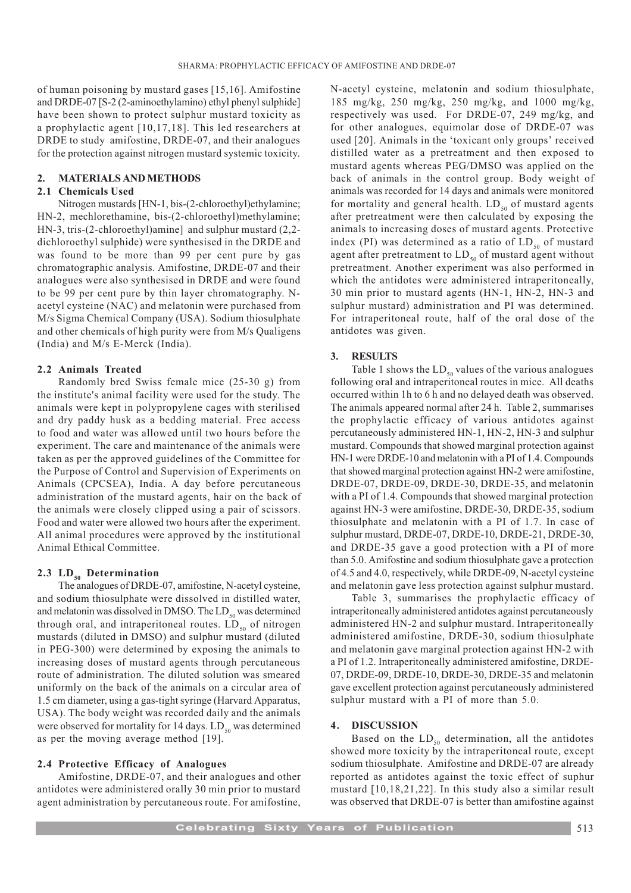of human poisoning by mustard gases [15,16]. Amifostine and DRDE-07 [S-2 (2-aminoethylamino) ethyl phenyl sulphide] have been shown to protect sulphur mustard toxicity as a prophylactic agent [10,17,18]. This led researchers at DRDE to study amifostine, DRDE-07, and their analogues for the protection against nitrogen mustard systemic toxicity.

#### 2. MATERIALS AND METHODS

## 2.1 Chemicals Used

Nitrogen mustards [HN-1, bis-(2-chloroethyl)ethylamine; HN-2, mechlorethamine, bis-(2-chloroethyl)methylamine; HN-3, tris-(2-chloroethyl)amine] and sulphur mustard (2,2 dichloroethyl sulphide) were synthesised in the DRDE and was found to be more than 99 per cent pure by gas chromatographic analysis. Amifostine, DRDE-07 and their analogues were also synthesised in DRDE and were found to be 99 per cent pure by thin layer chromatography. Nacetyl cysteine (NAC) and melatonin were purchased from M/s Sigma Chemical Company (USA). Sodium thiosulphate and other chemicals of high purity were from M/s Qualigens (India) and M/s E-Merck (India).

# 2.2 Animals Treated

Randomly bred Swiss female mice (25-30 g) from the institute's animal facility were used for the study. The animals were kept in polypropylene cages with sterilised and dry paddy husk as a bedding material. Free access to food and water was allowed until two hours before the experiment. The care and maintenance of the animals were taken as per the approved guidelines of the Committee for the Purpose of Control and Supervision of Experiments on Animals (CPCSEA), India. A day before percutaneous administration of the mustard agents, hair on the back of the animals were closely clipped using a pair of scissors. Food and water were allowed two hours after the experiment. All animal procedures were approved by the institutional Animal Ethical Committee.

## 2.3  $LD_{50}$  Determination

The analogues of DRDE-07, amifostine, N-acetyl cysteine, and sodium thiosulphate were dissolved in distilled water, and melatonin was dissolved in DMSO. The  $LD_{50}$  was determined through oral, and intraperitoneal routes.  $LD_{50}$  of nitrogen mustards (diluted in DMSO) and sulphur mustard (diluted in PEG-300) were determined by exposing the animals to increasing doses of mustard agents through percutaneous route of administration. The diluted solution was smeared uniformly on the back of the animals on a circular area of 1.5 cm diameter, using a gas-tight syringe (Harvard Apparatus, USA). The body weight was recorded daily and the animals were observed for mortality for 14 days.  $LD_{50}$  was determined as per the moving average method [19].

## 2.4 Protective Efficacy of Analogues

Amifostine, DRDE-07, and their analogues and other antidotes were administered orally 30 min prior to mustard agent administration by percutaneous route. For amifostine, N-acetyl cysteine, melatonin and sodium thiosulphate, 185 mg/kg, 250 mg/kg, 250 mg/kg, and 1000 mg/kg, respectively was used. For DRDE-07, 249 mg/kg, and for other analogues, equimolar dose of DRDE-07 was used [20]. Animals in the 'toxicant only groups' received distilled water as a pretreatment and then exposed to mustard agents whereas PEG/DMSO was applied on the back of animals in the control group. Body weight of animals was recorded for 14 days and animals were monitored for mortality and general health.  $LD_{50}$  of mustard agents after pretreatment were then calculated by exposing the animals to increasing doses of mustard agents. Protective index (PI) was determined as a ratio of  $LD_{50}$  of mustard agent after pretreatment to  $LD_{50}$  of mustard agent without pretreatment. Another experiment was also performed in which the antidotes were administered intraperitoneally, 30 min prior to mustard agents (HN-1, HN-2, HN-3 and sulphur mustard) administration and PI was determined. For intraperitoneal route, half of the oral dose of the antidotes was given.

#### 3. RESULTS

Table 1 shows the  $LD_{50}$  values of the various analogues following oral and intraperitoneal routes in mice. All deaths occurred within 1h to 6 h and no delayed death was observed. The animals appeared normal after 24 h. Table 2, summarises the prophylactic efficacy of various antidotes against percutaneously administered HN-1, HN-2, HN-3 and sulphur mustard. Compounds that showed marginal protection against HN-1 were DRDE-10 and melatonin with a PI of 1.4. Compounds that showed marginal protection against HN-2 were amifostine, DRDE-07, DRDE-09, DRDE-30, DRDE-35, and melatonin with a PI of 1.4. Compounds that showed marginal protection against HN-3 were amifostine, DRDE-30, DRDE-35, sodium thiosulphate and melatonin with a PI of 1.7. In case of sulphur mustard, DRDE-07, DRDE-10, DRDE-21, DRDE-30, and DRDE-35 gave a good protection with a PI of more than 5.0. Amifostine and sodium thiosulphate gave a protection of 4.5 and 4.0, respectively, while DRDE-09, N-acetyl cysteine and melatonin gave less protection against sulphur mustard.

Table 3, summarises the prophylactic efficacy of intraperitoneally administered antidotes against percutaneously administered HN-2 and sulphur mustard. Intraperitoneally administered amifostine, DRDE-30, sodium thiosulphate and melatonin gave marginal protection against HN-2 with a PI of 1.2. Intraperitoneally administered amifostine, DRDE-07, DRDE-09, DRDE-10, DRDE-30, DRDE-35 and melatonin gave excellent protection against percutaneously administered sulphur mustard with a PI of more than 5.0.

## 4. DISCUSSION

Based on the  $LD_{50}$  determination, all the antidotes showed more toxicity by the intraperitoneal route, except sodium thiosulphate. Amifostine and DRDE-07 are already reported as antidotes against the toxic effect of suphur mustard [10,18,21,22]. In this study also a similar result was observed that DRDE-07 is better than amifostine against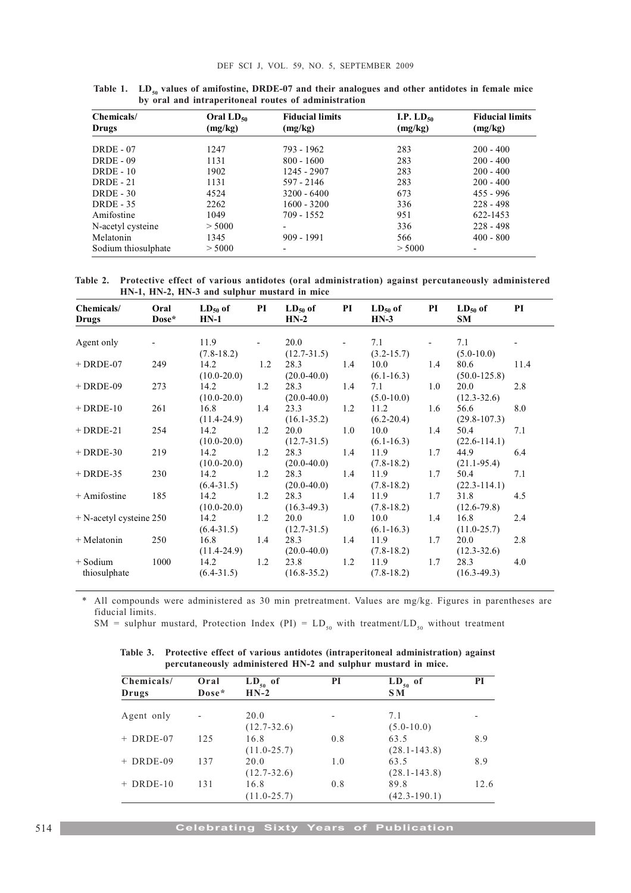| Chemicals/<br>Drugs | Oral $LD_{50}$<br>(mg/kg) | <b>Fiducial limits</b><br>(mg/kg) | I.P. $LD_{50}$<br>(mg/kg) | <b>Fiducial limits</b><br>(mg/kg) |
|---------------------|---------------------------|-----------------------------------|---------------------------|-----------------------------------|
| $DRDE - 07$         | 1247                      | 793 - 1962                        | 283                       | $200 - 400$                       |
| $DRDE - 09$         | 1131                      | $800 - 1600$                      | 283                       | $200 - 400$                       |
| $DRDE - 10$         | 1902                      | 1245 - 2907                       | 283                       | $200 - 400$                       |
| $DRDE - 21$         | 1131                      | 597 - 2146                        | 283                       | $200 - 400$                       |
| $DRDE - 30$         | 4524                      | $3200 - 6400$                     | 673                       | $455 - 996$                       |
| $DRDE - 35$         | 2262                      | $1600 - 3200$                     | 336                       | $228 - 498$                       |
| Amifostine          | 1049                      | 709 - 1552                        | 951                       | 622-1453                          |
| N-acetyl cysteine   | > 5000                    | $\overline{\phantom{0}}$          | 336                       | $228 - 498$                       |
| Melatonin           | 1345                      | $909 - 1991$                      | 566                       | $400 - 800$                       |
| Sodium thiosulphate | > 5000                    | $\overline{\phantom{0}}$          | > 5000                    | ۰                                 |

Table 1.  $LD_{50}$  values of amifostine, DRDE-07 and their analogues and other antidotes in female mice by oral and intraperitoneal routes of administration

Table 2. Protective effect of various antidotes (oral administration) against percutaneously administered HN-1, HN-2, HN-3 and sulphur mustard in mice

| Chemicals/<br><b>Drugs</b> | Oral<br>Dose* | $HN-1$          |                          | $LD_{50}$ of PI $LD_{50}$ of PI<br>$HN-2$ |     | $HN-3$         |                          | $LD_{50}$ of PI $LD_{50}$ of PI<br>SM |      |
|----------------------------|---------------|-----------------|--------------------------|-------------------------------------------|-----|----------------|--------------------------|---------------------------------------|------|
|                            |               |                 |                          |                                           |     |                |                          |                                       |      |
| Agent only                 |               | 11.9            | $\overline{\phantom{0}}$ | 20.0                                      |     | 7.1            | $\overline{\phantom{a}}$ | 7.1                                   |      |
|                            |               | $(7.8-18.2)$    |                          | $(12.7 - 31.5)$                           |     | $(3.2 - 15.7)$ |                          | $(5.0-10.0)$                          |      |
| $+$ DRDE-07                | 249           | 14.2            | 1.2                      | 28.3                                      | 1.4 | 10.0           | 1.4                      | 80.6                                  | 11.4 |
|                            |               | $(10.0 - 20.0)$ |                          | $(20.0-40.0)$                             |     | $(6.1 - 16.3)$ |                          | $(50.0 - 125.8)$                      |      |
| $+$ DRDE-09                | 273           | 14.2            | 1.2                      | 28.3                                      | 1.4 | 7.1            | 1.0                      | 20.0                                  | 2.8  |
|                            |               | $(10.0 - 20.0)$ |                          | $(20.0-40.0)$                             |     | $(5.0-10.0)$   |                          | $(12.3 - 32.6)$                       |      |
| $+$ DRDE-10                | 261           | 16.8 1.4        |                          | 23.3                                      | 1.2 | 11.2           | 1.6                      | 56.6                                  | 8.0  |
|                            |               | $(11.4 - 24.9)$ |                          | $(16.1 - 35.2)$                           |     | $(6.2 - 20.4)$ |                          | $(29.8 - 107.3)$                      |      |
| $+$ DRDE-21                | 254           | 14.2 1.2        |                          | 20.0                                      | 1.0 | 10.0           | 1.4                      | 50.4                                  | 7.1  |
|                            |               | $(10.0 - 20.0)$ |                          | $(12.7 - 31.5)$                           |     | $(6.1 - 16.3)$ |                          | $(22.6 - 114.1)$                      |      |
| $+$ DRDE-30                | 219           | $14.2$ 1.2      |                          | 28.3                                      | 1.4 | 11.9           | 1.7                      | 44.9                                  | 6.4  |
|                            |               | $(10.0 - 20.0)$ |                          | $(20.0-40.0)$                             |     | $(7.8-18.2)$   |                          | $(21.1-95.4)$                         |      |
| $+$ DRDE-35                | 230           | $14.2$ 1.2      |                          | 28.3                                      | 1.4 | 11.9           | 1.7                      | 50.4                                  | 7.1  |
|                            |               | $(6.4 - 31.5)$  |                          | $(20.0 - 40.0)$                           |     | $(7.8-18.2)$   |                          | $(22.3 - 114.1)$                      |      |
| + Amifostine               | 185           | $14.2$ 1.2      |                          | 28.3                                      | 1.4 | 11.9           | 1.7                      | 31.8                                  | 4.5  |
|                            |               | $(10.0 - 20.0)$ |                          | $(16.3-49.3)$                             |     | $(7.8-18.2)$   |                          | $(12.6 - 79.8)$                       |      |
| $+$ N-acetyl cysteine 250  |               | 14.2 1.2        |                          | 20.0                                      | 1.0 | 10.0           | 1.4                      | 16.8                                  | 2.4  |
|                            |               | $(6.4 - 31.5)$  |                          | $(12.7 - 31.5)$                           |     | $(6.1 - 16.3)$ |                          | $(11.0 - 25.7)$                       |      |
| + Melatonin                | 250           | 16.8 1.4        |                          | 28.3                                      | 1.4 | 11.9           | 1.7                      | 20.0                                  | 2.8  |
|                            |               | $(11.4 - 24.9)$ |                          | $(20.0-40.0)$                             |     | $(7.8-18.2)$   |                          | $(12.3 - 32.6)$                       |      |
| + Sodium                   | 1000          | $14.2$ 1.2      |                          | 23.8 1.2                                  |     | $11.9$ 1.7     |                          | 28.3                                  | 4.0  |
| thiosulphate               |               | $(6.4 - 31.5)$  |                          | $(16.8 - 35.2)$                           |     | $(7.8-18.2)$   |                          | $(16.3-49.3)$                         |      |

\* All compounds were administered as 30 min pretreatment. Values are mg/kg. Figures in parentheses are fiducial limits.

SM = sulphur mustard, Protection Index (PI) =  $LD_{50}$  with treatment/ $LD_{50}$  without treatment

Table 3. Protective effect of various antidotes (intraperitoneal administration) against percutaneously administered HN-2 and sulphur mustard in mice.

| Chemicals/<br>Drugs | Oral<br>Dose* | $LD_{50}$ of<br>$HN-2$ | PI  | $LD_{50}$ of<br><b>SM</b> | PI   |
|---------------------|---------------|------------------------|-----|---------------------------|------|
| Agent only          |               | 20.0                   |     | 7.1                       |      |
|                     |               | $(12.7 - 32.6)$        |     | $(5.0 - 10.0)$            |      |
| $+$ DRDE-07         | 125           | 16.8                   | 0.8 | 63.5                      | 8.9  |
|                     |               | $(11.0 - 25.7)$        |     | $(28.1 - 143.8)$          |      |
| $+$ DRDE-09         | 137           | 20.0                   | 1.0 | 63.5                      | 8.9  |
|                     |               | $(12.7 - 32.6)$        |     | $(28.1 - 143.8)$          |      |
| $+$ DRDE-10         | 131           | 16.8                   | 0.8 | 89.8                      | 12.6 |
|                     |               | $(11.0 - 25.7)$        |     | $(42.3 - 190.1)$          |      |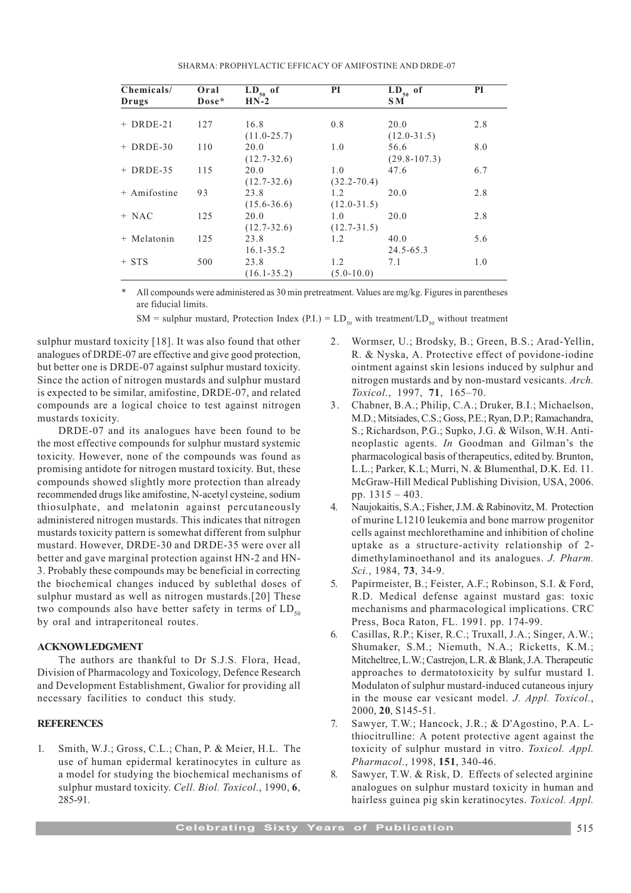SHARMA: PROPHYLACTIC EFFICACY OF AMIFOSTINE AND DRDE-07

| Chemicals/   | Oral  | $LD_{50}$ of    | <b>PI</b>       | $LD_{50}$ of     | PI  |
|--------------|-------|-----------------|-----------------|------------------|-----|
| Drugs        | Dose* | $HN-2$          |                 | S M              |     |
|              |       |                 |                 |                  |     |
| $+$ DRDE-21  | 127   | 16.8            | 0.8             | 20.0             | 2.8 |
|              |       | $(11.0 - 25.7)$ |                 | $(12.0 - 31.5)$  |     |
| $+$ DRDE-30  | 110   | 20.0            | 1.0             | 56.6             | 8.0 |
|              |       | $(12.7 - 32.6)$ |                 | $(29.8 - 107.3)$ |     |
| $+$ DRDE-35  | 115   | 20.0            | 1.0             | 47.6             | 6.7 |
|              |       | $(12.7 - 32.6)$ | $(32.2 - 70.4)$ |                  |     |
| + Amifostine | 93    | 23.8            | 1.2             | 20.0             | 2.8 |
|              |       | $(15.6 - 36.6)$ | $(12.0 - 31.5)$ |                  |     |
| $+ NAC$      | 125   | 20.0            | 1.0             | 20.0             | 2.8 |
|              |       | $(12.7 - 32.6)$ | $(12.7 - 31.5)$ |                  |     |
| + Melatonin  | 125   | 23.8            | 1.2             | 40.0             | 5.6 |
|              |       | $16.1 - 35.2$   |                 | $24.5 - 65.3$    |     |
| $+$ STS      | 500   | 23.8            | 1.2             | 7.1              | 1.0 |
|              |       | $(16.1 - 35.2)$ | $(5.0 - 10.0)$  |                  |     |

All compounds were administered as 30 min pretreatment. Values are mg/kg. Figures in parentheses are fiducial limits.

SM = sulphur mustard, Protection Index (P.I.) =  $LD_{50}$  with treatment/LD<sub>50</sub> without treatment

sulphur mustard toxicity [18]. It was also found that other analogues of DRDE-07 are effective and give good protection, but better one is DRDE-07 against sulphur mustard toxicity. Since the action of nitrogen mustards and sulphur mustard is expected to be similar, amifostine, DRDE-07, and related compounds are a logical choice to test against nitrogen mustards toxicity.

DRDE-07 and its analogues have been found to be the most effective compounds for sulphur mustard systemic toxicity. However, none of the compounds was found as promising antidote for nitrogen mustard toxicity. But, these compounds showed slightly more protection than already recommended drugs like amifostine, N-acetyl cysteine, sodium thiosulphate, and melatonin against percutaneously administered nitrogen mustards. This indicates that nitrogen mustards toxicity pattern is somewhat different from sulphur mustard. However, DRDE-30 and DRDE-35 were over all better and gave marginal protection against HN-2 and HN-3. Probably these compounds may be beneficial in correcting the biochemical changes induced by sublethal doses of sulphur mustard as well as nitrogen mustards.[20] These two compounds also have better safety in terms of  $LD_{50}$ by oral and intraperitoneal routes.

## ACKNOWLEDGMENT

The authors are thankful to Dr S.J.S. Flora, Head, Division of Pharmacology and Toxicology, Defence Research and Development Establishment, Gwalior for providing all necessary facilities to conduct this study.

#### **REFERENCES**

1. Smith, W.J.; Gross, C.L.; Chan, P. & Meier, H.L. The use of human epidermal keratinocytes in culture as a model for studying the biochemical mechanisms of sulphur mustard toxicity. Cell. Biol. Toxicol., 1990, 6, 285-91.

- 2. Wormser, U.; Brodsky, B.; Green, B.S.; Arad-Yellin, R. & Nyska, A. Protective effect of povidone-iodine ointment against skin lesions induced by sulphur and nitrogen mustards and by non-mustard vesicants. Arch. Toxicol., 1997, 71, 165-70.
- 3. Chabner, B.A.; Philip, C.A.; Druker, B.I.; Michaelson, M.D.; Mitsiades, C.S.; Goss, P.E.; Ryan, D.P.; Ramachandra, S.; Richardson, P.G.; Supko, J.G. & Wilson, W.H. Antineoplastic agents. In Goodman and Gilman's the pharmacological basis of therapeutics, edited by. Brunton, L.L.; Parker, K.L; Murri, N. & Blumenthal, D.K. Ed. 11. McGraw-Hill Medical Publishing Division, USA, 2006. pp.  $1315 - 403$ .
- 4. Naujokaitis, S.A.; Fisher, J.M. & Rabinovitz, M. Protection of murine L1210 leukemia and bone marrow progenitor cells against mechlorethamine and inhibition of choline uptake as a structure-activity relationship of 2 dimethylaminoethanol and its analogues. J. Pharm. Sci., 1984, 73, 34-9.
- 5. Papirmeister, B.; Feister, A.F.; Robinson, S.I. & Ford, R.D. Medical defense against mustard gas: toxic mechanisms and pharmacological implications. CRC Press, Boca Raton, FL. 1991. pp. 174-99.
- 6. Casillas, R.P.; Kiser, R.C.; Truxall, J.A.; Singer, A.W.; Shumaker, S.M.; Niemuth, N.A.; Ricketts, K.M.; Mitcheltree, L.W.; Castrejon, L.R. & Blank, J.A. Therapeutic approaches to dermatotoxicity by sulfur mustard I. Modulaton of sulphur mustard-induced cutaneous injury in the mouse ear vesicant model. J. Appl. Toxicol., 2000, 20, S145-51.
- 7. Sawyer, T.W.; Hancock, J.R.; & D'Agostino, P.A. Lthiocitrulline: A potent protective agent against the toxicity of sulphur mustard in vitro. Toxicol. Appl. Pharmacol., 1998, 151, 340-46.
- 8. Sawyer, T.W. & Risk, D. Effects of selected arginine analogues on sulphur mustard toxicity in human and hairless guinea pig skin keratinocytes. Toxicol. Appl.